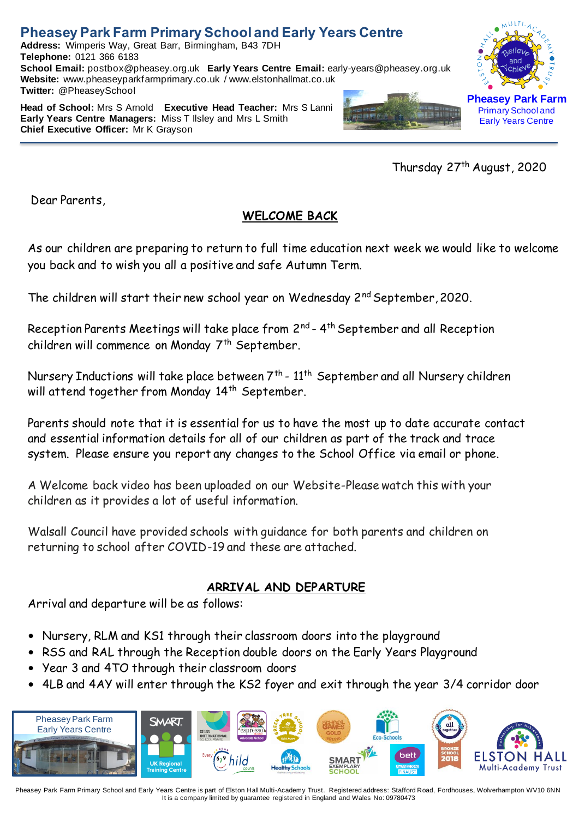**Address:** Wimperis Way, Great Barr, Birmingham, B43 7DH **Telephone:** 0121 366 6183 **School Email:** postbox@pheasey.org.uk **Early Years Centre Email:** [early-years@pheasey.o](mailto:early-years@pheasey)rg.uk **Website:** [www.pheaseyparkfarmprimary.co.uk](http://www.pheaseyparkfarmprimary.co.uk/) / www.elstonhallmat.co.uk **Twitter:** @PheaseySchool

**Head of School:** Mrs S Arnold **Executive Head Teacher:** Mrs S Lanni **Early Years Centre Managers:** Miss T Ilsley and Mrs L Smith **Chief Executive Officer:** Mr K Grayson





Early Years Centre

Thursday 27 th August, 2020

Dear Parents,

### **WELCOME BACK**

As our children are preparing to return to full time education next week we would like to welcome you back and to wish you all a positive and safe Autumn Term.

The children will start their new school year on Wednesday 2<sup>nd</sup> September, 2020.

Reception Parents Meetings will take place from 2<sup>nd</sup> - 4<sup>th</sup> September and all Reception children will commence on Monday 7<sup>th</sup> September.

Nursery Inductions will take place between 7<sup>th</sup> - 11<sup>th</sup> September and all Nursery children will attend together from Monday 14<sup>th</sup> September.

Parents should note that it is essential for us to have the most up to date accurate contact and essential information details for all of our children as part of the track and trace system. Please ensure you report any changes to the School Office via email or phone.

A Welcome back video has been uploaded on our Website-Please watch this with your children as it provides a lot of useful information.

Walsall Council have provided schools with guidance for both parents and children on returning to school after COVID-19 and these are attached.

### **ARRIVAL AND DEPARTURE**

Arrival and departure will be as follows:

- Nursery, RLM and KS1 through their classroom doors into the playground
- RSS and RAL through the Reception double doors on the Early Years Playground
- Year 3 and 4TO through their classroom doors
- 4LB and 4AY will enter through the KS2 foyer and exit through the year 3/4 corridor door

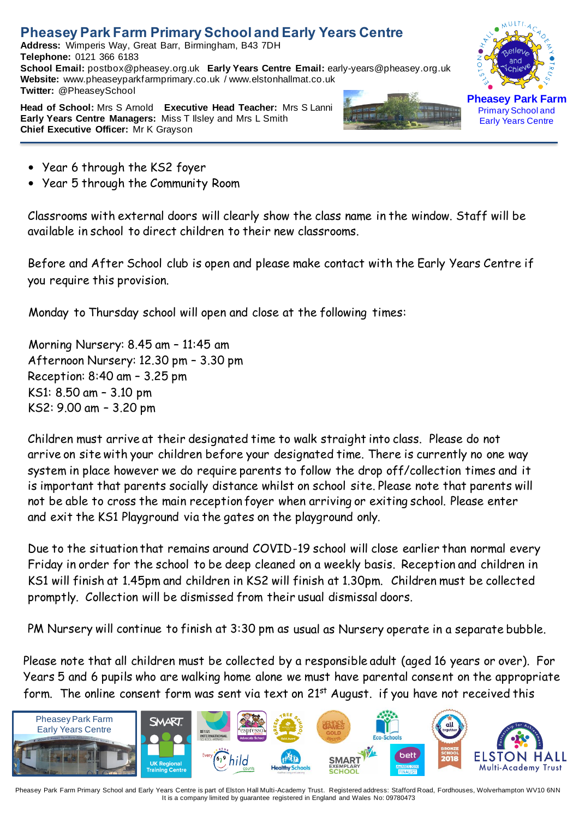**Address:** Wimperis Way, Great Barr, Birmingham, B43 7DH **Telephone:** 0121 366 6183 **School Email:** postbox@pheasey.org.uk **Early Years Centre Email:** [early-years@pheasey.o](mailto:early-years@pheasey)rg.uk **Website:** [www.pheaseyparkfarmprimary.co.uk](http://www.pheaseyparkfarmprimary.co.uk/) / www.elstonhallmat.co.uk **Twitter:** @PheaseySchool



**Head of School:** Mrs S Arnold **Executive Head Teacher:** Mrs S Lanni **Early Years Centre Managers:** Miss T Ilsley and Mrs L Smith **Chief Executive Officer:** Mr K Grayson



**Pheasey Park Farm** Primary School and Early Years Centre

- Year 6 through the KS2 foyer
- Year 5 through the Community Room

Classrooms with external doors will clearly show the class name in the window. Staff will be available in school to direct children to their new classrooms.

Before and After School club is open and please make contact with the Early Years Centre if you require this provision.

Monday to Thursday school will open and close at the following times:

Morning Nursery: 8.45 am – 11:45 am Afternoon Nursery: 12.30 pm – 3.30 pm Reception: 8:40 am – 3.25 pm KS1: 8.50 am – 3.10 pm KS2: 9.00 am – 3.20 pm

Children must arrive at their designated time to walk straight into class. Please do not arrive on site with your children before your designated time. There is currently no one way system in place however we do require parents to follow the drop off/collection times and it is important that parents socially distance whilst on school site. Please note that parents will not be able to cross the main reception foyer when arriving or exiting school. Please enter and exit the KS1 Playground via the gates on the playground only.

Due to the situation that remains around COVID-19 school will close earlier than normal every Friday in order for the school to be deep cleaned on a weekly basis. Reception and children in KS1 will finish at 1.45pm and children in KS2 will finish at 1.30pm. Children must be collected promptly. Collection will be dismissed from their usual dismissal doors.

PM Nursery will continue to finish at 3:30 pm as usual as Nursery operate in a separate bubble.

Please note that all children must be collected by a responsible adult (aged 16 years or over). For Years 5 and 6 pupils who are walking home alone we must have parental consent on the appropriate form. The online consent form was sent via text on  $21^{st}$  August. if you have not received this

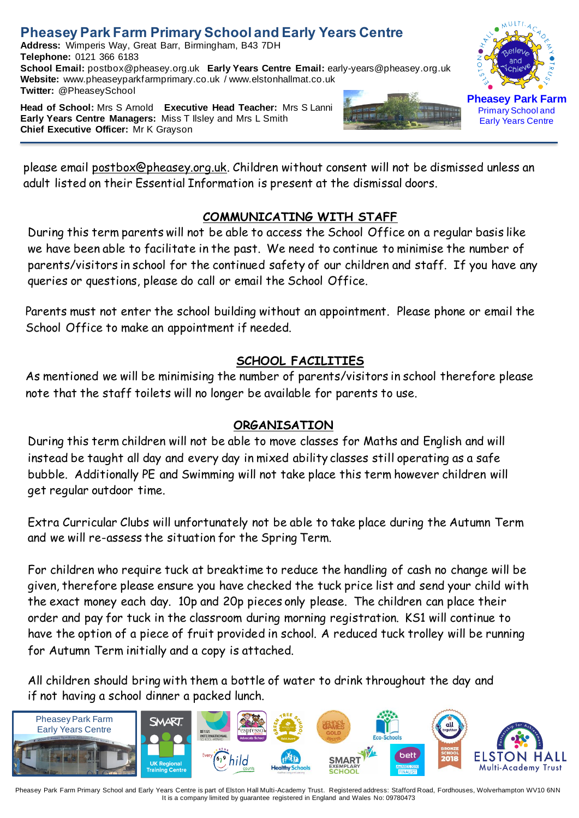**Address:** Wimperis Way, Great Barr, Birmingham, B43 7DH **Telephone:** 0121 366 6183 **School Email:** postbox@pheasey.org.uk **Early Years Centre Email:** [early-years@pheasey.o](mailto:early-years@pheasey)rg.uk **Website:** [www.pheaseyparkfarmprimary.co.uk](http://www.pheaseyparkfarmprimary.co.uk/) / www.elstonhallmat.co.uk **Twitter:** @PheaseySchool

**Head of School:** Mrs S Arnold **Executive Head Teacher:** Mrs S Lanni **Early Years Centre Managers:** Miss T Ilsley and Mrs L Smith **Chief Executive Officer:** Mr K Grayson





Primary School and Early Years Centre

please email [postbox@pheasey.org.uk.](mailto:postbox@pheasey.org.uk) Children without consent will not be dismissed unless an adult listed on their Essential Information is present at the dismissal doors.

#### **COMMUNICATING WITH STAFF**

During this term parents will not be able to access the School Office on a regular basis like we have been able to facilitate in the past. We need to continue to minimise the number of parents/visitors in school for the continued safety of our children and staff. If you have any queries or questions, please do call or email the School Office.

Parents must not enter the school building without an appointment. Please phone or email the School Office to make an appointment if needed.

### **SCHOOL FACILITIES**

As mentioned we will be minimising the number of parents/visitors in school therefore please note that the staff toilets will no longer be available for parents to use.

### **ORGANISATION**

During this term children will not be able to move classes for Maths and English and will instead be taught all day and every day in mixed ability classes still operating as a safe bubble. Additionally PE and Swimming will not take place this term however children will get regular outdoor time.

Extra Curricular Clubs will unfortunately not be able to take place during the Autumn Term and we will re-assess the situation for the Spring Term.

For children who require tuck at breaktime to reduce the handling of cash no change will be given, therefore please ensure you have checked the tuck price list and send your child with the exact money each day. 10p and 20p pieces only please. The children can place their order and pay for tuck in the classroom during morning registration. KS1 will continue to have the option of a piece of fruit provided in school. A reduced tuck trolley will be running for Autumn Term initially and a copy is attached.

All children should bring with them a bottle of water to drink throughout the day and if not having a school dinner a packed lunch.

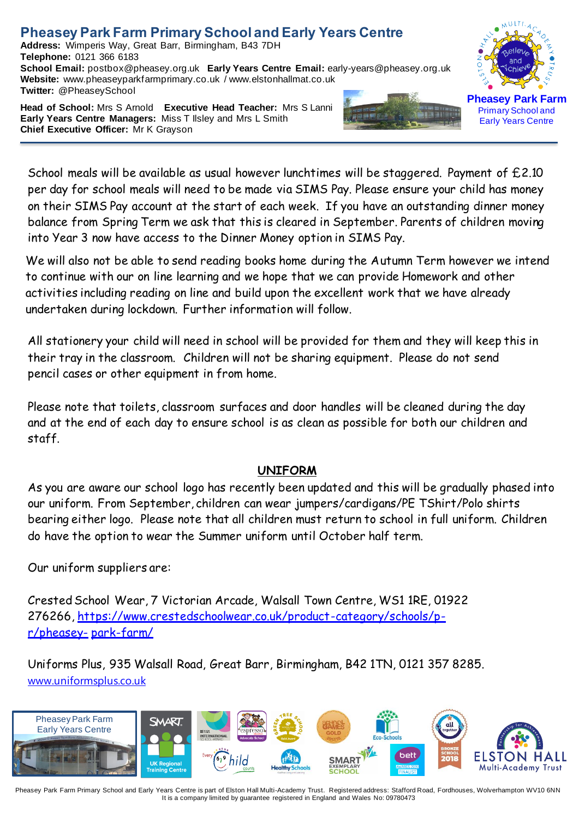**Address:** Wimperis Way, Great Barr, Birmingham, B43 7DH **Telephone:** 0121 366 6183 **School Email:** postbox@pheasey.org.uk **Early Years Centre Email:** [early-years@pheasey.o](mailto:early-years@pheasey)rg.uk **Website:** [www.pheaseyparkfarmprimary.co.uk](http://www.pheaseyparkfarmprimary.co.uk/) / www.elstonhallmat.co.uk **Twitter:** @PheaseySchool

**Head of School:** Mrs S Arnold **Executive Head Teacher:** Mrs S Lanni **Early Years Centre Managers:** Miss T Ilsley and Mrs L Smith **Chief Executive Officer:** Mr K Grayson





School meals will be available as usual however lunchtimes will be staggered. Payment of  $£2.10$ per day for school meals will need to be made via SIMS Pay. Please ensure your child has money on their SIMS Pay account at the start of each week. If you have an outstanding dinner money balance from Spring Term we ask that this is cleared in September. Parents of children moving into Year 3 now have access to the Dinner Money option in SIMS Pay.

We will also not be able to send reading books home during the Autumn Term however we intend to continue with our on line learning and we hope that we can provide Homework and other activities including reading on line and build upon the excellent work that we have already undertaken during lockdown. Further information will follow.

All stationery your child will need in school will be provided for them and they will keep this in their tray in the classroom. Children will not be sharing equipment. Please do not send pencil cases or other equipment in from home.

Please note that toilets, classroom surfaces and door handles will be cleaned during the day and at the end of each day to ensure school is as clean as possible for both our children and staff.

#### **UNIFORM**

As you are aware our school logo has recently been updated and this will be gradually phased into our uniform. From September, children can wear jumpers/cardigans/PE TShirt/Polo shirts bearing either logo. Please note that all children must return to school in full uniform. Children do have the option to wear the Summer uniform until October half term.

Our uniform suppliers are:

Crested School Wear, 7 Victorian Arcade, Walsall Town Centre, WS1 1RE, 01922 276266, [https://www.crestedschoolwear.co.uk/product-category/schools/p](https://www.crestedschoolwear.co.uk/product-category/schools/p-r/pheasey-park-farm/)[r/pheasey-](https://www.crestedschoolwear.co.uk/product-category/schools/p-r/pheasey-park-farm/) [park-farm/](https://www.crestedschoolwear.co.uk/product-category/schools/p-r/pheasey-park-farm/)

Uniforms Plus, 935 Walsall Road, Great Barr, Birmingham, B42 1TN, 0121 357 8285. [www.uniformsplus.co.uk](http://www.uniformsplus.co.uk/)